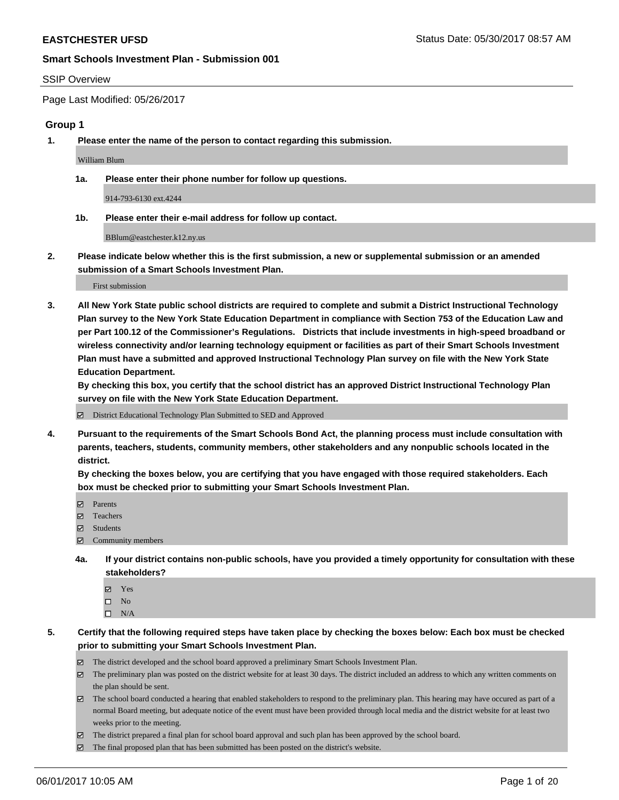#### SSIP Overview

Page Last Modified: 05/26/2017

#### **Group 1**

**1. Please enter the name of the person to contact regarding this submission.**

William Blum

**1a. Please enter their phone number for follow up questions.**

914-793-6130 ext.4244

**1b. Please enter their e-mail address for follow up contact.**

BBlum@eastchester.k12.ny.us

**2. Please indicate below whether this is the first submission, a new or supplemental submission or an amended submission of a Smart Schools Investment Plan.**

First submission

**3. All New York State public school districts are required to complete and submit a District Instructional Technology Plan survey to the New York State Education Department in compliance with Section 753 of the Education Law and per Part 100.12 of the Commissioner's Regulations. Districts that include investments in high-speed broadband or wireless connectivity and/or learning technology equipment or facilities as part of their Smart Schools Investment Plan must have a submitted and approved Instructional Technology Plan survey on file with the New York State Education Department.** 

**By checking this box, you certify that the school district has an approved District Instructional Technology Plan survey on file with the New York State Education Department.**

District Educational Technology Plan Submitted to SED and Approved

**4. Pursuant to the requirements of the Smart Schools Bond Act, the planning process must include consultation with parents, teachers, students, community members, other stakeholders and any nonpublic schools located in the district.** 

**By checking the boxes below, you are certifying that you have engaged with those required stakeholders. Each box must be checked prior to submitting your Smart Schools Investment Plan.**

- **マ** Parents
- □ Teachers
- Students
- $\Xi$  Community members
- **4a. If your district contains non-public schools, have you provided a timely opportunity for consultation with these stakeholders?**
	- Yes
	- $\hfill \square$  No
	- $\square$  N/A
- **5. Certify that the following required steps have taken place by checking the boxes below: Each box must be checked prior to submitting your Smart Schools Investment Plan.**
	- The district developed and the school board approved a preliminary Smart Schools Investment Plan.
	- $\boxtimes$  The preliminary plan was posted on the district website for at least 30 days. The district included an address to which any written comments on the plan should be sent.
	- $\boxtimes$  The school board conducted a hearing that enabled stakeholders to respond to the preliminary plan. This hearing may have occured as part of a normal Board meeting, but adequate notice of the event must have been provided through local media and the district website for at least two weeks prior to the meeting.
	- The district prepared a final plan for school board approval and such plan has been approved by the school board.
	- $\boxtimes$  The final proposed plan that has been submitted has been posted on the district's website.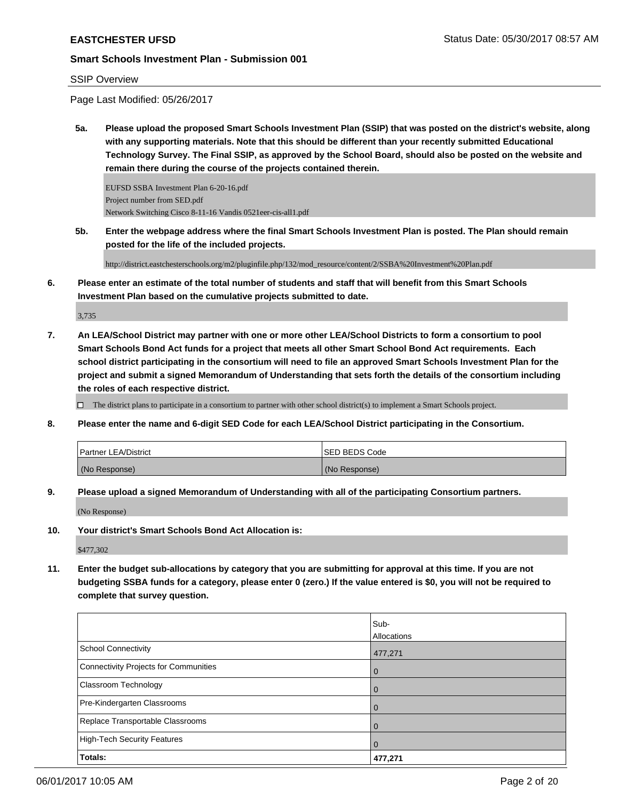#### SSIP Overview

Page Last Modified: 05/26/2017

**5a. Please upload the proposed Smart Schools Investment Plan (SSIP) that was posted on the district's website, along with any supporting materials. Note that this should be different than your recently submitted Educational Technology Survey. The Final SSIP, as approved by the School Board, should also be posted on the website and remain there during the course of the projects contained therein.**

EUFSD SSBA Investment Plan 6-20-16.pdf Project number from SED.pdf Network Switching Cisco 8-11-16 Vandis 0521eer-cis-all1.pdf

**5b. Enter the webpage address where the final Smart Schools Investment Plan is posted. The Plan should remain posted for the life of the included projects.**

http://district.eastchesterschools.org/m2/pluginfile.php/132/mod\_resource/content/2/SSBA%20Investment%20Plan.pdf

**6. Please enter an estimate of the total number of students and staff that will benefit from this Smart Schools Investment Plan based on the cumulative projects submitted to date.**

3,735

**7. An LEA/School District may partner with one or more other LEA/School Districts to form a consortium to pool Smart Schools Bond Act funds for a project that meets all other Smart School Bond Act requirements. Each school district participating in the consortium will need to file an approved Smart Schools Investment Plan for the project and submit a signed Memorandum of Understanding that sets forth the details of the consortium including the roles of each respective district.**

 $\Box$  The district plans to participate in a consortium to partner with other school district(s) to implement a Smart Schools project.

**8. Please enter the name and 6-digit SED Code for each LEA/School District participating in the Consortium.**

| <b>Partner LEA/District</b> | ISED BEDS Code |
|-----------------------------|----------------|
| (No Response)               | (No Response)  |

**9. Please upload a signed Memorandum of Understanding with all of the participating Consortium partners.**

(No Response)

**10. Your district's Smart Schools Bond Act Allocation is:**

\$477,302

**11. Enter the budget sub-allocations by category that you are submitting for approval at this time. If you are not budgeting SSBA funds for a category, please enter 0 (zero.) If the value entered is \$0, you will not be required to complete that survey question.**

|                                              | Sub-        |
|----------------------------------------------|-------------|
|                                              | Allocations |
| <b>School Connectivity</b>                   | 477,271     |
| <b>Connectivity Projects for Communities</b> | $\Omega$    |
| Classroom Technology                         |             |
| Pre-Kindergarten Classrooms                  | $\Omega$    |
| Replace Transportable Classrooms             |             |
| <b>High-Tech Security Features</b>           | 0           |
| Totals:                                      | 477,271     |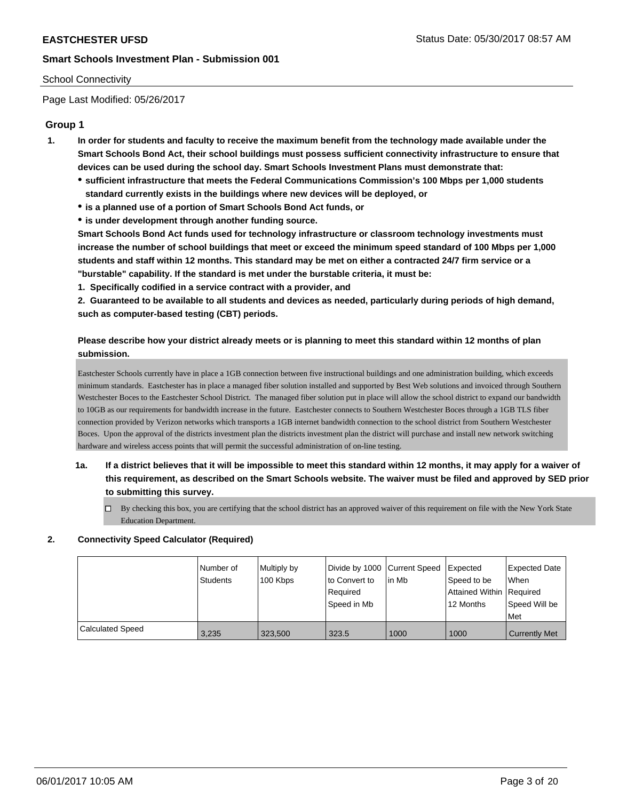#### School Connectivity

Page Last Modified: 05/26/2017

### **Group 1**

- **1. In order for students and faculty to receive the maximum benefit from the technology made available under the Smart Schools Bond Act, their school buildings must possess sufficient connectivity infrastructure to ensure that devices can be used during the school day. Smart Schools Investment Plans must demonstrate that:**
	- **sufficient infrastructure that meets the Federal Communications Commission's 100 Mbps per 1,000 students standard currently exists in the buildings where new devices will be deployed, or**
	- **is a planned use of a portion of Smart Schools Bond Act funds, or**
	- **is under development through another funding source.**

**Smart Schools Bond Act funds used for technology infrastructure or classroom technology investments must increase the number of school buildings that meet or exceed the minimum speed standard of 100 Mbps per 1,000 students and staff within 12 months. This standard may be met on either a contracted 24/7 firm service or a "burstable" capability. If the standard is met under the burstable criteria, it must be:**

**1. Specifically codified in a service contract with a provider, and**

**2. Guaranteed to be available to all students and devices as needed, particularly during periods of high demand, such as computer-based testing (CBT) periods.**

# **Please describe how your district already meets or is planning to meet this standard within 12 months of plan submission.**

Eastchester Schools currently have in place a 1GB connection between five instructional buildings and one administration building, which exceeds minimum standards. Eastchester has in place a managed fiber solution installed and supported by Best Web solutions and invoiced through Southern Westchester Boces to the Eastchester School District. The managed fiber solution put in place will allow the school district to expand our bandwidth to 10GB as our requirements for bandwidth increase in the future. Eastchester connects to Southern Westchester Boces through a 1GB TLS fiber connection provided by Verizon networks which transports a 1GB internet bandwidth connection to the school district from Southern Westchester Boces. Upon the approval of the districts investment plan the districts investment plan the district will purchase and install new network switching hardware and wireless access points that will permit the successful administration of on-line testing.

- **1a. If a district believes that it will be impossible to meet this standard within 12 months, it may apply for a waiver of this requirement, as described on the Smart Schools website. The waiver must be filed and approved by SED prior to submitting this survey.**
	- $\Box$  By checking this box, you are certifying that the school district has an approved waiver of this requirement on file with the New York State Education Department.

#### **2. Connectivity Speed Calculator (Required)**

|                         | I Number of<br>Students | Multiply by<br>100 Kbps | Divide by 1000 Current Speed<br>to Convert to<br>Required<br>Speed in Mb | in Mb | <b>Expected</b><br>Speed to be<br>Attained Within Required<br>12 Months | <b>Expected Date</b><br><b>When</b><br>Speed Will be<br>Met |
|-------------------------|-------------------------|-------------------------|--------------------------------------------------------------------------|-------|-------------------------------------------------------------------------|-------------------------------------------------------------|
| <b>Calculated Speed</b> | 3,235                   | 323.500                 | 323.5                                                                    | 1000  | 1000                                                                    | <b>Currently Met</b>                                        |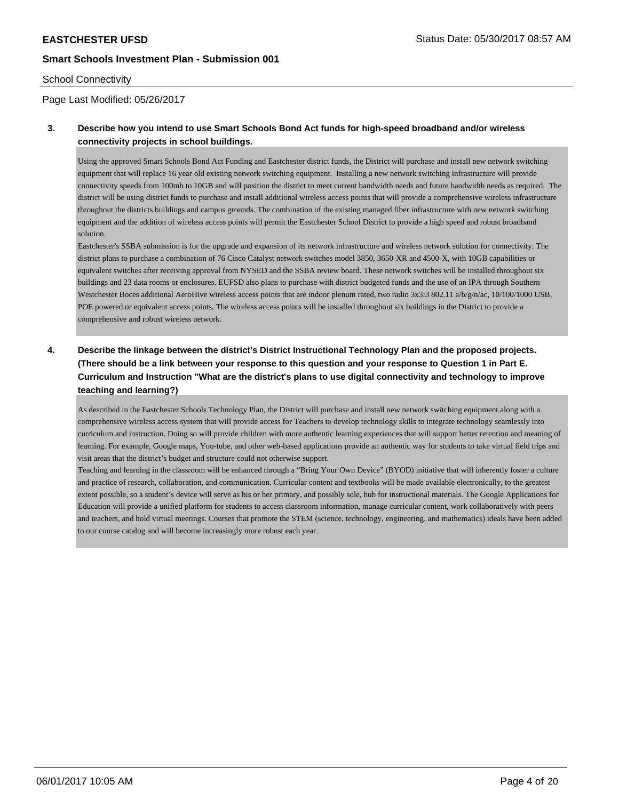#### School Connectivity

Page Last Modified: 05/26/2017

## **3. Describe how you intend to use Smart Schools Bond Act funds for high-speed broadband and/or wireless connectivity projects in school buildings.**

Using the approved Smart Schools Bond Act Funding and Eastchester district funds, the District will purchase and install new network switching equipment that will replace 16 year old existing network switching equipment. Installing a new network switching infrastructure will provide connectivity speeds from 100mb to 10GB and will position the district to meet current bandwidth needs and future bandwidth needs as required. The district will be using district funds to purchase and install additional wireless access points that will provide a comprehensive wireless infrastructure throughout the districts buildings and campus grounds. The combination of the existing managed fiber infrastructure with new network switching equipment and the addition of wireless access points will permit the Eastchester School District to provide a high speed and robust broadband solution.

Eastchester's SSBA submission is for the upgrade and expansion of its network infrastructure and wireless network solution for connectivity. The district plans to purchase a combination of 76 Cisco Catalyst network switches model 3850, 3650-XR and 4500-X, with 10GB capabilities or equivalent switches after receiving approval from NYSED and the SSBA review board. These network switches will be installed throughout six buildings and 23 data rooms or enclosures. EUFSD also plans to purchase with district budgeted funds and the use of an IPA through Southern Westchester Boces additional AeroHive wireless access points that are indoor plenum rated, two radio 3x3:3 802.11 a/b/g/n/ac, 10/100/1000 USB, POE powered or equivalent access points, The wireless access points will be installed throughout six buildings in the District to provide a comprehensive and robust wireless network.

# **4. Describe the linkage between the district's District Instructional Technology Plan and the proposed projects. (There should be a link between your response to this question and your response to Question 1 in Part E. Curriculum and Instruction "What are the district's plans to use digital connectivity and technology to improve teaching and learning?)**

As described in the Eastchester Schools Technology Plan, the District will purchase and install new network switching equipment along with a comprehensive wireless access system that will provide access for Teachers to develop technology skills to integrate technology seamlessly into curriculum and instruction. Doing so will provide children with more authentic learning experiences that will support better retention and meaning of learning. For example, Google maps, You-tube, and other web-based applications provide an authentic way for students to take virtual field trips and visit areas that the district's budget and structure could not otherwise support.

Teaching and learning in the classroom will be enhanced through a "Bring Your Own Device" (BYOD) initiative that will inherently foster a culture and practice of research, collaboration, and communication. Curricular content and textbooks will be made available electronically, to the greatest extent possible, so a student's device will serve as his or her primary, and possibly sole, hub for instructional materials. The Google Applications for Education will provide a unified platform for students to access classroom information, manage curricular content, work collaboratively with peers and teachers, and hold virtual meetings. Courses that promote the STEM (science, technology, engineering, and mathematics) ideals have been added to our course catalog and will become increasingly more robust each year.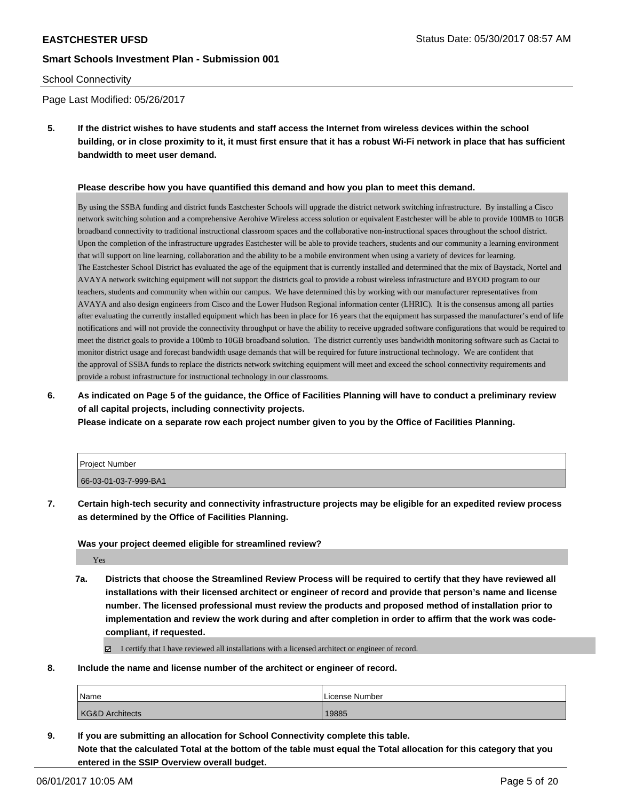#### School Connectivity

Page Last Modified: 05/26/2017

**5. If the district wishes to have students and staff access the Internet from wireless devices within the school building, or in close proximity to it, it must first ensure that it has a robust Wi-Fi network in place that has sufficient bandwidth to meet user demand.**

#### **Please describe how you have quantified this demand and how you plan to meet this demand.**

By using the SSBA funding and district funds Eastchester Schools will upgrade the district network switching infrastructure. By installing a Cisco network switching solution and a comprehensive Aerohive Wireless access solution or equivalent Eastchester will be able to provide 100MB to 10GB broadband connectivity to traditional instructional classroom spaces and the collaborative non-instructional spaces throughout the school district. Upon the completion of the infrastructure upgrades Eastchester will be able to provide teachers, students and our community a learning environment that will support on line learning, collaboration and the ability to be a mobile environment when using a variety of devices for learning. The Eastchester School District has evaluated the age of the equipment that is currently installed and determined that the mix of Baystack, Nortel and AVAYA network switching equipment will not support the districts goal to provide a robust wireless infrastructure and BYOD program to our teachers, students and community when within our campus. We have determined this by working with our manufacturer representatives from AVAYA and also design engineers from Cisco and the Lower Hudson Regional information center (LHRIC). It is the consensus among all parties after evaluating the currently installed equipment which has been in place for 16 years that the equipment has surpassed the manufacturer's end of life notifications and will not provide the connectivity throughput or have the ability to receive upgraded software configurations that would be required to meet the district goals to provide a 100mb to 10GB broadband solution. The district currently uses bandwidth monitoring software such as Cactai to monitor district usage and forecast bandwidth usage demands that will be required for future instructional technology. We are confident that the approval of SSBA funds to replace the districts network switching equipment will meet and exceed the school connectivity requirements and provide a robust infrastructure for instructional technology in our classrooms.

**6. As indicated on Page 5 of the guidance, the Office of Facilities Planning will have to conduct a preliminary review of all capital projects, including connectivity projects.**

**Please indicate on a separate row each project number given to you by the Office of Facilities Planning.**

| Project Number        |  |
|-----------------------|--|
| 66-03-01-03-7-999-BA1 |  |

**7. Certain high-tech security and connectivity infrastructure projects may be eligible for an expedited review process as determined by the Office of Facilities Planning.**

#### **Was your project deemed eligible for streamlined review?**

Yes

**7a. Districts that choose the Streamlined Review Process will be required to certify that they have reviewed all installations with their licensed architect or engineer of record and provide that person's name and license number. The licensed professional must review the products and proposed method of installation prior to implementation and review the work during and after completion in order to affirm that the work was codecompliant, if requested.**

I certify that I have reviewed all installations with a licensed architect or engineer of record.

**8. Include the name and license number of the architect or engineer of record.**

| <b>Name</b>                | License Number |
|----------------------------|----------------|
| <b>KG&amp;D Architects</b> | 19885          |

**9. If you are submitting an allocation for School Connectivity complete this table.**

**Note that the calculated Total at the bottom of the table must equal the Total allocation for this category that you entered in the SSIP Overview overall budget.**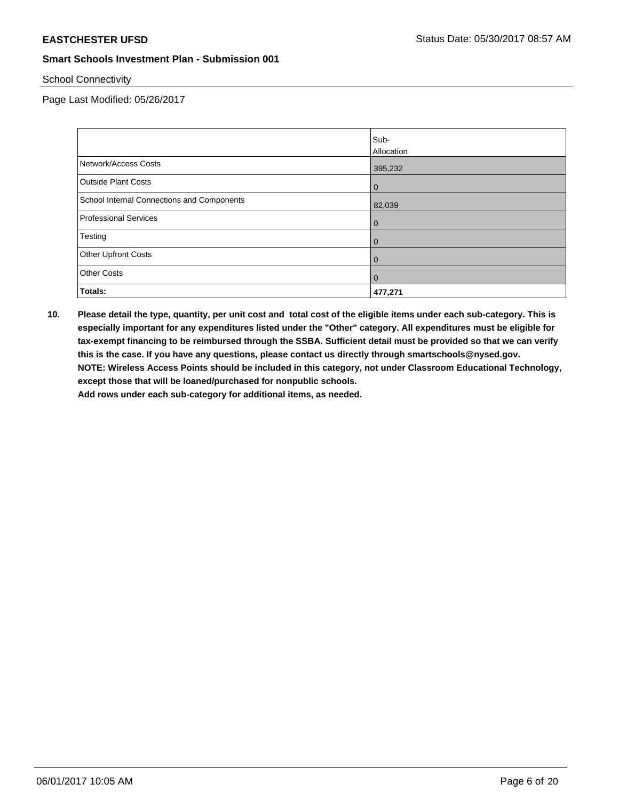School Connectivity

Page Last Modified: 05/26/2017

|                                            | Sub-              |
|--------------------------------------------|-------------------|
|                                            | <b>Allocation</b> |
| Network/Access Costs                       | 395,232           |
| <b>Outside Plant Costs</b>                 | $\overline{0}$    |
| School Internal Connections and Components | 82,039            |
| <b>Professional Services</b>               | $\overline{0}$    |
| Testing                                    | $\overline{0}$    |
| <b>Other Upfront Costs</b>                 | $\overline{0}$    |
| <b>Other Costs</b>                         | $\overline{0}$    |
| Totals:                                    | 477,271           |

**10. Please detail the type, quantity, per unit cost and total cost of the eligible items under each sub-category. This is especially important for any expenditures listed under the "Other" category. All expenditures must be eligible for tax-exempt financing to be reimbursed through the SSBA. Sufficient detail must be provided so that we can verify this is the case. If you have any questions, please contact us directly through smartschools@nysed.gov. NOTE: Wireless Access Points should be included in this category, not under Classroom Educational Technology, except those that will be loaned/purchased for nonpublic schools.**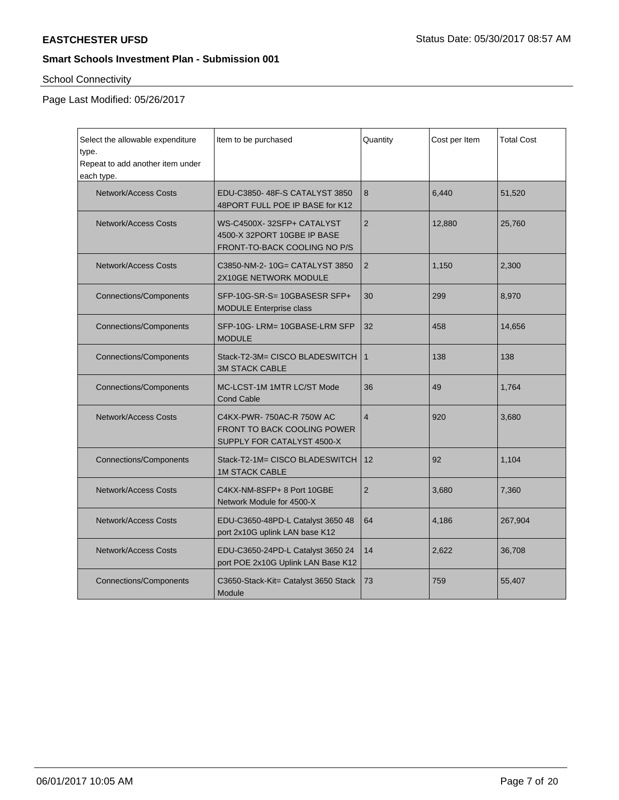# School Connectivity

Page Last Modified: 05/26/2017

| Select the allowable expenditure<br>type.<br>Repeat to add another item under<br>each type. | Item to be purchased                                                                         | Quantity       | Cost per Item | <b>Total Cost</b> |
|---------------------------------------------------------------------------------------------|----------------------------------------------------------------------------------------------|----------------|---------------|-------------------|
| <b>Network/Access Costs</b>                                                                 | EDU-C3850-48F-S CATALYST 3850<br>48PORT FULL POE IP BASE for K12                             | 8              | 6.440         | 51,520            |
| Network/Access Costs                                                                        | WS-C4500X-32SFP+ CATALYST<br>4500-X 32PORT 10GBE IP BASE<br>FRONT-TO-BACK COOLING NO P/S     | $\overline{2}$ | 12,880        | 25,760            |
| <b>Network/Access Costs</b>                                                                 | C3850-NM-2-10G= CATALYST 3850<br>2X10GE NETWORK MODULE                                       | 2              | 1,150         | 2,300             |
| <b>Connections/Components</b>                                                               | SFP-10G-SR-S= 10GBASESR SFP+<br><b>MODULE Enterprise class</b>                               | 30             | 299           | 8,970             |
| <b>Connections/Components</b>                                                               | SFP-10G-LRM= 10GBASE-LRM SFP<br><b>MODULE</b>                                                | 32             | 458           | 14,656            |
| <b>Connections/Components</b>                                                               | Stack-T2-3M= CISCO BLADESWITCH<br><b>3M STACK CABLE</b>                                      | $\mathbf{1}$   | 138           | 138               |
| <b>Connections/Components</b>                                                               | MC-LCST-1M 1MTR LC/ST Mode<br><b>Cond Cable</b>                                              | 36             | 49            | 1,764             |
| <b>Network/Access Costs</b>                                                                 | C4KX-PWR-750AC-R 750W AC<br><b>FRONT TO BACK COOLING POWER</b><br>SUPPLY FOR CATALYST 4500-X | $\overline{4}$ | 920           | 3,680             |
| <b>Connections/Components</b>                                                               | Stack-T2-1M= CISCO BLADESWITCH<br><b>1M STACK CABLE</b>                                      | 12             | 92            | 1,104             |
| <b>Network/Access Costs</b>                                                                 | C4KX-NM-8SFP+ 8 Port 10GBE<br>Network Module for 4500-X                                      | $\overline{2}$ | 3,680         | 7,360             |
| Network/Access Costs                                                                        | EDU-C3650-48PD-L Catalyst 3650 48<br>port 2x10G uplink LAN base K12                          | 64             | 4,186         | 267,904           |
| <b>Network/Access Costs</b>                                                                 | EDU-C3650-24PD-L Catalyst 3650 24<br>port POE 2x10G Uplink LAN Base K12                      | 14             | 2,622         | 36,708            |
| <b>Connections/Components</b>                                                               | C3650-Stack-Kit= Catalyst 3650 Stack<br>Module                                               | 73             | 759           | 55,407            |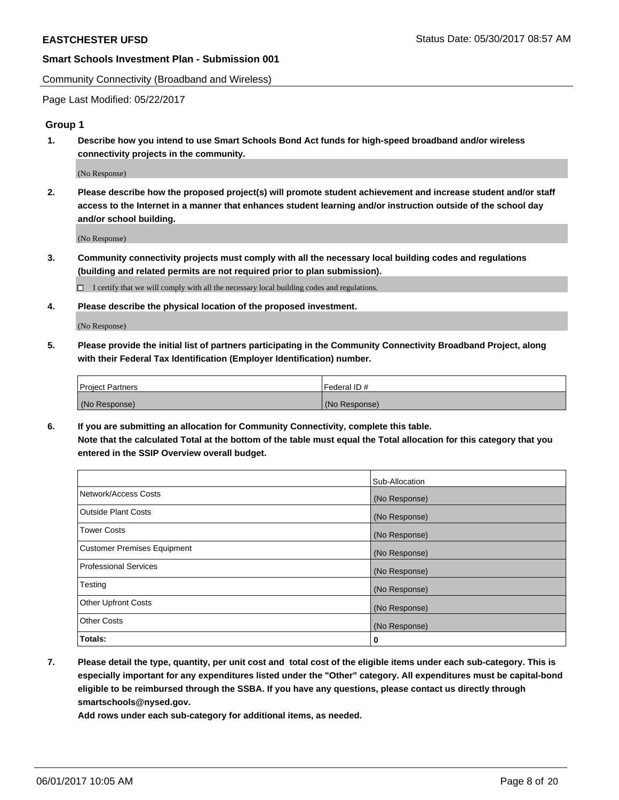Community Connectivity (Broadband and Wireless)

Page Last Modified: 05/22/2017

#### **Group 1**

**1. Describe how you intend to use Smart Schools Bond Act funds for high-speed broadband and/or wireless connectivity projects in the community.**

(No Response)

**2. Please describe how the proposed project(s) will promote student achievement and increase student and/or staff access to the Internet in a manner that enhances student learning and/or instruction outside of the school day and/or school building.**

(No Response)

**3. Community connectivity projects must comply with all the necessary local building codes and regulations (building and related permits are not required prior to plan submission).**

 $\Box$  I certify that we will comply with all the necessary local building codes and regulations.

**4. Please describe the physical location of the proposed investment.**

(No Response)

**5. Please provide the initial list of partners participating in the Community Connectivity Broadband Project, along with their Federal Tax Identification (Employer Identification) number.**

| <b>Project Partners</b> | Federal ID#     |
|-------------------------|-----------------|
| (No Response)           | l (No Response) |

**6. If you are submitting an allocation for Community Connectivity, complete this table. Note that the calculated Total at the bottom of the table must equal the Total allocation for this category that you entered in the SSIP Overview overall budget.**

|                                    | Sub-Allocation |
|------------------------------------|----------------|
| Network/Access Costs               | (No Response)  |
| Outside Plant Costs                | (No Response)  |
| <b>Tower Costs</b>                 | (No Response)  |
| <b>Customer Premises Equipment</b> | (No Response)  |
| <b>Professional Services</b>       | (No Response)  |
| Testing                            | (No Response)  |
| <b>Other Upfront Costs</b>         | (No Response)  |
| <b>Other Costs</b>                 | (No Response)  |
| Totals:                            | 0              |

**7. Please detail the type, quantity, per unit cost and total cost of the eligible items under each sub-category. This is especially important for any expenditures listed under the "Other" category. All expenditures must be capital-bond eligible to be reimbursed through the SSBA. If you have any questions, please contact us directly through smartschools@nysed.gov.**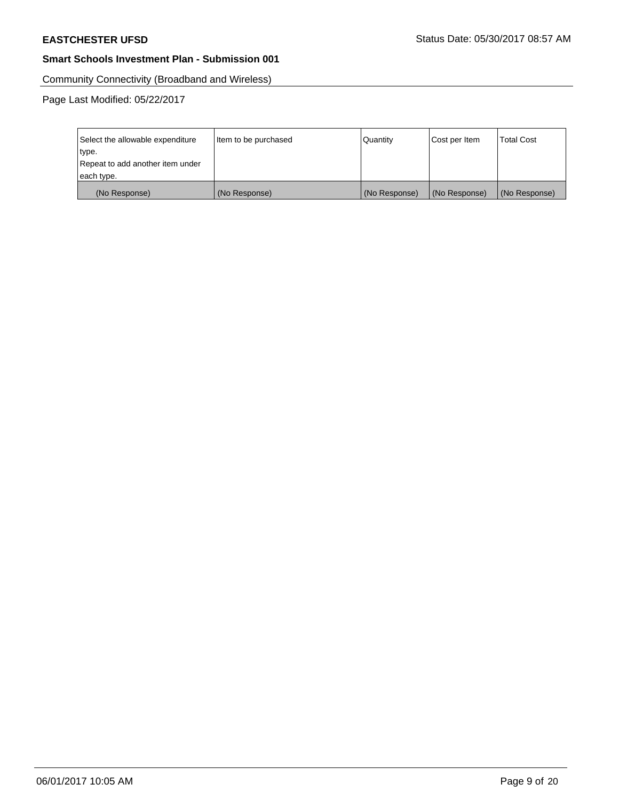Community Connectivity (Broadband and Wireless)

Page Last Modified: 05/22/2017

| Select the allowable expenditure | Item to be purchased | Quantity      | Cost per Item | <b>Total Cost</b> |
|----------------------------------|----------------------|---------------|---------------|-------------------|
| type.                            |                      |               |               |                   |
| Repeat to add another item under |                      |               |               |                   |
| each type.                       |                      |               |               |                   |
| (No Response)                    | (No Response)        | (No Response) | (No Response) | (No Response)     |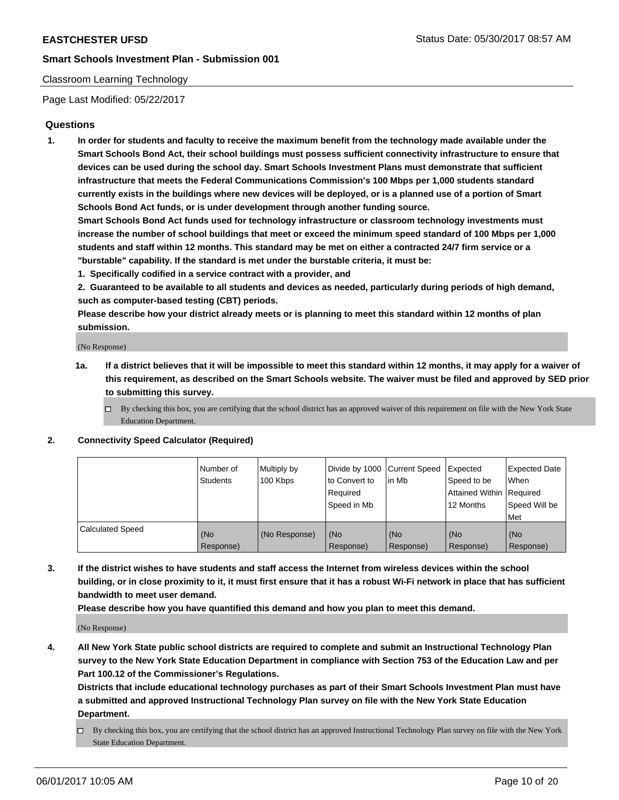### Classroom Learning Technology

Page Last Modified: 05/22/2017

### **Questions**

**1. In order for students and faculty to receive the maximum benefit from the technology made available under the Smart Schools Bond Act, their school buildings must possess sufficient connectivity infrastructure to ensure that devices can be used during the school day. Smart Schools Investment Plans must demonstrate that sufficient infrastructure that meets the Federal Communications Commission's 100 Mbps per 1,000 students standard currently exists in the buildings where new devices will be deployed, or is a planned use of a portion of Smart Schools Bond Act funds, or is under development through another funding source.**

**Smart Schools Bond Act funds used for technology infrastructure or classroom technology investments must increase the number of school buildings that meet or exceed the minimum speed standard of 100 Mbps per 1,000 students and staff within 12 months. This standard may be met on either a contracted 24/7 firm service or a "burstable" capability. If the standard is met under the burstable criteria, it must be:**

- **1. Specifically codified in a service contract with a provider, and**
- **2. Guaranteed to be available to all students and devices as needed, particularly during periods of high demand, such as computer-based testing (CBT) periods.**

**Please describe how your district already meets or is planning to meet this standard within 12 months of plan submission.**

(No Response)

- **1a. If a district believes that it will be impossible to meet this standard within 12 months, it may apply for a waiver of this requirement, as described on the Smart Schools website. The waiver must be filed and approved by SED prior to submitting this survey.**
	- $\Box$  By checking this box, you are certifying that the school district has an approved waiver of this requirement on file with the New York State Education Department.

#### **2. Connectivity Speed Calculator (Required)**

|                         | l Number of<br>Students | Multiply by<br>100 Kbps | Divide by 1000   Current Speed<br>to Convert to<br>Required<br>Speed in Mb | lin Mb           | Expected<br>Speed to be<br>Attained Within Required<br>12 Months | <b>Expected Date</b><br>When<br>Speed Will be<br>Met |
|-------------------------|-------------------------|-------------------------|----------------------------------------------------------------------------|------------------|------------------------------------------------------------------|------------------------------------------------------|
| <b>Calculated Speed</b> | (No<br>Response)        | (No Response)           | (No<br>Response)                                                           | (No<br>Response) | (No<br>Response)                                                 | (No<br>Response)                                     |

**3. If the district wishes to have students and staff access the Internet from wireless devices within the school building, or in close proximity to it, it must first ensure that it has a robust Wi-Fi network in place that has sufficient bandwidth to meet user demand.**

**Please describe how you have quantified this demand and how you plan to meet this demand.**

(No Response)

**4. All New York State public school districts are required to complete and submit an Instructional Technology Plan survey to the New York State Education Department in compliance with Section 753 of the Education Law and per Part 100.12 of the Commissioner's Regulations.**

**Districts that include educational technology purchases as part of their Smart Schools Investment Plan must have a submitted and approved Instructional Technology Plan survey on file with the New York State Education Department.**

 $\Box$  By checking this box, you are certifying that the school district has an approved Instructional Technology Plan survey on file with the New York State Education Department.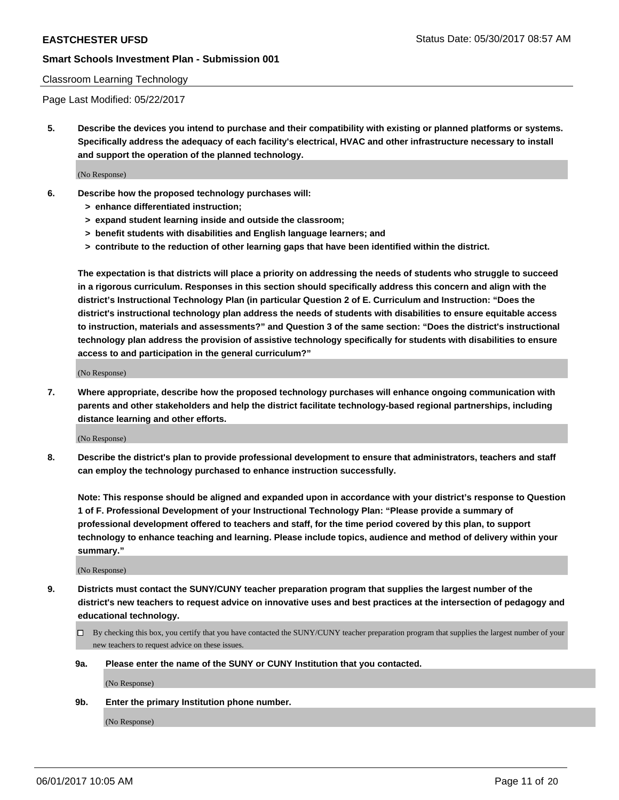#### Classroom Learning Technology

Page Last Modified: 05/22/2017

**5. Describe the devices you intend to purchase and their compatibility with existing or planned platforms or systems. Specifically address the adequacy of each facility's electrical, HVAC and other infrastructure necessary to install and support the operation of the planned technology.**

(No Response)

- **6. Describe how the proposed technology purchases will:**
	- **> enhance differentiated instruction;**
	- **> expand student learning inside and outside the classroom;**
	- **> benefit students with disabilities and English language learners; and**
	- **> contribute to the reduction of other learning gaps that have been identified within the district.**

**The expectation is that districts will place a priority on addressing the needs of students who struggle to succeed in a rigorous curriculum. Responses in this section should specifically address this concern and align with the district's Instructional Technology Plan (in particular Question 2 of E. Curriculum and Instruction: "Does the district's instructional technology plan address the needs of students with disabilities to ensure equitable access to instruction, materials and assessments?" and Question 3 of the same section: "Does the district's instructional technology plan address the provision of assistive technology specifically for students with disabilities to ensure access to and participation in the general curriculum?"**

(No Response)

**7. Where appropriate, describe how the proposed technology purchases will enhance ongoing communication with parents and other stakeholders and help the district facilitate technology-based regional partnerships, including distance learning and other efforts.**

(No Response)

**8. Describe the district's plan to provide professional development to ensure that administrators, teachers and staff can employ the technology purchased to enhance instruction successfully.**

**Note: This response should be aligned and expanded upon in accordance with your district's response to Question 1 of F. Professional Development of your Instructional Technology Plan: "Please provide a summary of professional development offered to teachers and staff, for the time period covered by this plan, to support technology to enhance teaching and learning. Please include topics, audience and method of delivery within your summary."**

(No Response)

- **9. Districts must contact the SUNY/CUNY teacher preparation program that supplies the largest number of the district's new teachers to request advice on innovative uses and best practices at the intersection of pedagogy and educational technology.**
	- By checking this box, you certify that you have contacted the SUNY/CUNY teacher preparation program that supplies the largest number of your new teachers to request advice on these issues.
	- **9a. Please enter the name of the SUNY or CUNY Institution that you contacted.**

(No Response)

**9b. Enter the primary Institution phone number.**

(No Response)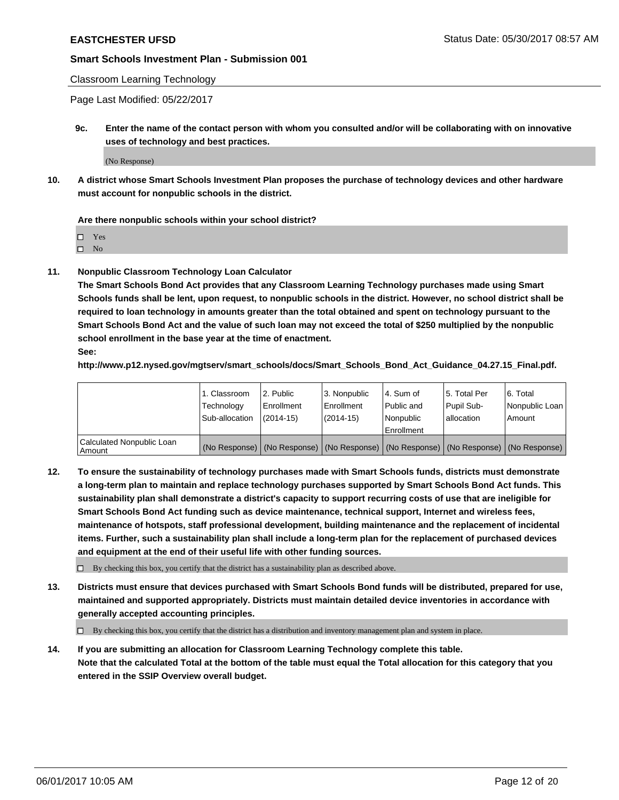### Classroom Learning Technology

Page Last Modified: 05/22/2017

**9c. Enter the name of the contact person with whom you consulted and/or will be collaborating with on innovative uses of technology and best practices.**

(No Response)

**10. A district whose Smart Schools Investment Plan proposes the purchase of technology devices and other hardware must account for nonpublic schools in the district.**

**Are there nonpublic schools within your school district?**

Yes

 $\square$  No

**11. Nonpublic Classroom Technology Loan Calculator**

**The Smart Schools Bond Act provides that any Classroom Learning Technology purchases made using Smart Schools funds shall be lent, upon request, to nonpublic schools in the district. However, no school district shall be required to loan technology in amounts greater than the total obtained and spent on technology pursuant to the Smart Schools Bond Act and the value of such loan may not exceed the total of \$250 multiplied by the nonpublic school enrollment in the base year at the time of enactment.**

**See:**

**http://www.p12.nysed.gov/mgtserv/smart\_schools/docs/Smart\_Schools\_Bond\_Act\_Guidance\_04.27.15\_Final.pdf.**

|                                       | 1. Classroom   | l 2. Public   | 3. Nonpublic | l 4. Sum of | 15. Total Per                                                                                 | 6. Total       |
|---------------------------------------|----------------|---------------|--------------|-------------|-----------------------------------------------------------------------------------------------|----------------|
|                                       | Technology     | Enrollment    | Enrollment   | Public and  | Pupil Sub-                                                                                    | Nonpublic Loan |
|                                       | Sub-allocation | $(2014 - 15)$ | $(2014-15)$  | l Nonpublic | allocation                                                                                    | Amount         |
|                                       |                |               |              | Enrollment  |                                                                                               |                |
| Calculated Nonpublic Loan<br>  Amount |                |               |              |             | (No Response)   (No Response)   (No Response)   (No Response)   (No Response)   (No Response) |                |

**12. To ensure the sustainability of technology purchases made with Smart Schools funds, districts must demonstrate a long-term plan to maintain and replace technology purchases supported by Smart Schools Bond Act funds. This sustainability plan shall demonstrate a district's capacity to support recurring costs of use that are ineligible for Smart Schools Bond Act funding such as device maintenance, technical support, Internet and wireless fees, maintenance of hotspots, staff professional development, building maintenance and the replacement of incidental items. Further, such a sustainability plan shall include a long-term plan for the replacement of purchased devices and equipment at the end of their useful life with other funding sources.**

 $\Box$  By checking this box, you certify that the district has a sustainability plan as described above.

**13. Districts must ensure that devices purchased with Smart Schools Bond funds will be distributed, prepared for use, maintained and supported appropriately. Districts must maintain detailed device inventories in accordance with generally accepted accounting principles.**

By checking this box, you certify that the district has a distribution and inventory management plan and system in place.

**14. If you are submitting an allocation for Classroom Learning Technology complete this table. Note that the calculated Total at the bottom of the table must equal the Total allocation for this category that you entered in the SSIP Overview overall budget.**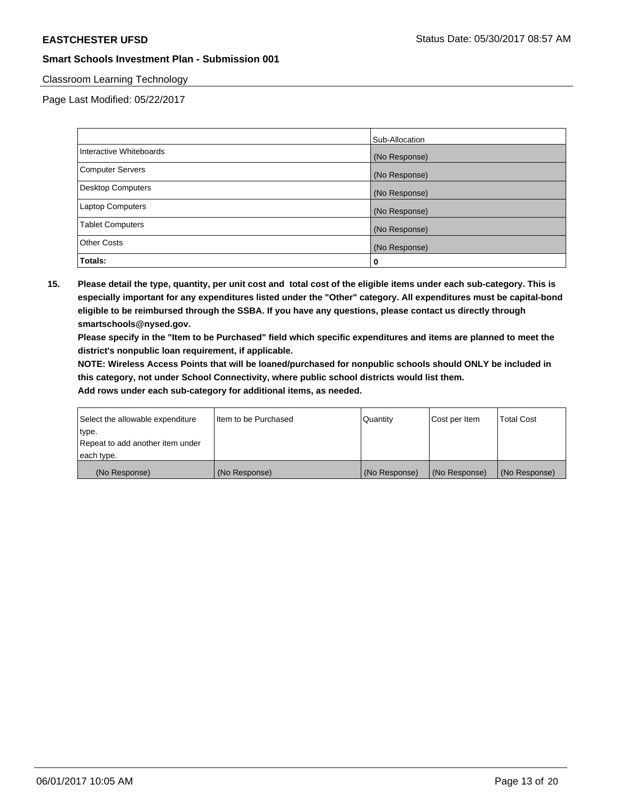### Classroom Learning Technology

Page Last Modified: 05/22/2017

|                          | Sub-Allocation |
|--------------------------|----------------|
| Interactive Whiteboards  | (No Response)  |
| Computer Servers         | (No Response)  |
| <b>Desktop Computers</b> | (No Response)  |
| <b>Laptop Computers</b>  | (No Response)  |
| <b>Tablet Computers</b>  | (No Response)  |
| <b>Other Costs</b>       | (No Response)  |
| Totals:                  | 0              |

**15. Please detail the type, quantity, per unit cost and total cost of the eligible items under each sub-category. This is especially important for any expenditures listed under the "Other" category. All expenditures must be capital-bond eligible to be reimbursed through the SSBA. If you have any questions, please contact us directly through smartschools@nysed.gov.**

**Please specify in the "Item to be Purchased" field which specific expenditures and items are planned to meet the district's nonpublic loan requirement, if applicable.**

**NOTE: Wireless Access Points that will be loaned/purchased for nonpublic schools should ONLY be included in this category, not under School Connectivity, where public school districts would list them.**

| (No Response)                    | (No Response)        | (No Response) | (No Response) | (No Response)     |
|----------------------------------|----------------------|---------------|---------------|-------------------|
| each type.                       |                      |               |               |                   |
| Repeat to add another item under |                      |               |               |                   |
| ∣type.                           |                      |               |               |                   |
| Select the allowable expenditure | Item to be Purchased | Quantity      | Cost per Item | <b>Total Cost</b> |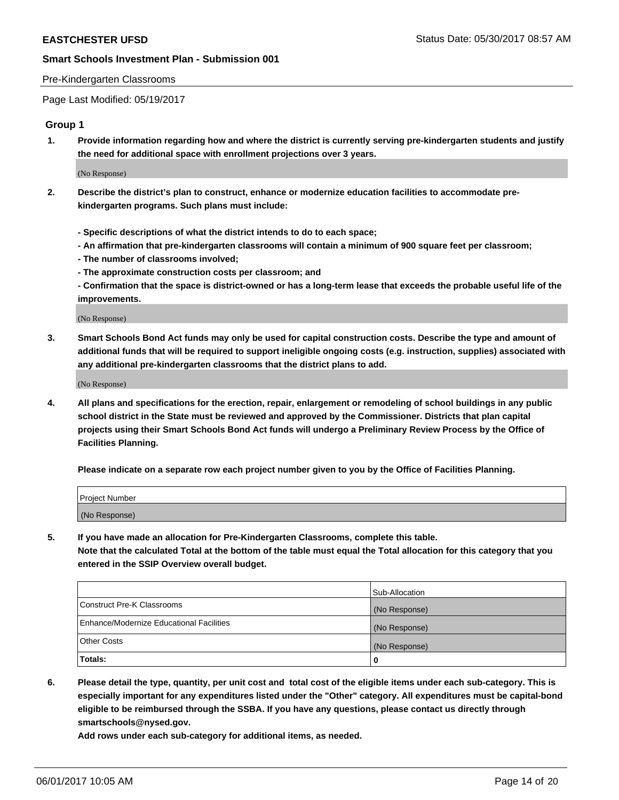#### Pre-Kindergarten Classrooms

Page Last Modified: 05/19/2017

#### **Group 1**

**1. Provide information regarding how and where the district is currently serving pre-kindergarten students and justify the need for additional space with enrollment projections over 3 years.**

(No Response)

- **2. Describe the district's plan to construct, enhance or modernize education facilities to accommodate prekindergarten programs. Such plans must include:**
	- **Specific descriptions of what the district intends to do to each space;**
	- **An affirmation that pre-kindergarten classrooms will contain a minimum of 900 square feet per classroom;**
	- **The number of classrooms involved;**
	- **The approximate construction costs per classroom; and**
	- **Confirmation that the space is district-owned or has a long-term lease that exceeds the probable useful life of the improvements.**

(No Response)

**3. Smart Schools Bond Act funds may only be used for capital construction costs. Describe the type and amount of additional funds that will be required to support ineligible ongoing costs (e.g. instruction, supplies) associated with any additional pre-kindergarten classrooms that the district plans to add.**

(No Response)

**4. All plans and specifications for the erection, repair, enlargement or remodeling of school buildings in any public school district in the State must be reviewed and approved by the Commissioner. Districts that plan capital projects using their Smart Schools Bond Act funds will undergo a Preliminary Review Process by the Office of Facilities Planning.**

**Please indicate on a separate row each project number given to you by the Office of Facilities Planning.**

| Project Number |  |
|----------------|--|
| (No Response)  |  |

**5. If you have made an allocation for Pre-Kindergarten Classrooms, complete this table. Note that the calculated Total at the bottom of the table must equal the Total allocation for this category that you entered in the SSIP Overview overall budget.**

| Totals:                                  | 0              |
|------------------------------------------|----------------|
| Other Costs                              | (No Response)  |
| Enhance/Modernize Educational Facilities | (No Response)  |
| Construct Pre-K Classrooms               | (No Response)  |
|                                          | Sub-Allocation |

**6. Please detail the type, quantity, per unit cost and total cost of the eligible items under each sub-category. This is especially important for any expenditures listed under the "Other" category. All expenditures must be capital-bond eligible to be reimbursed through the SSBA. If you have any questions, please contact us directly through smartschools@nysed.gov.**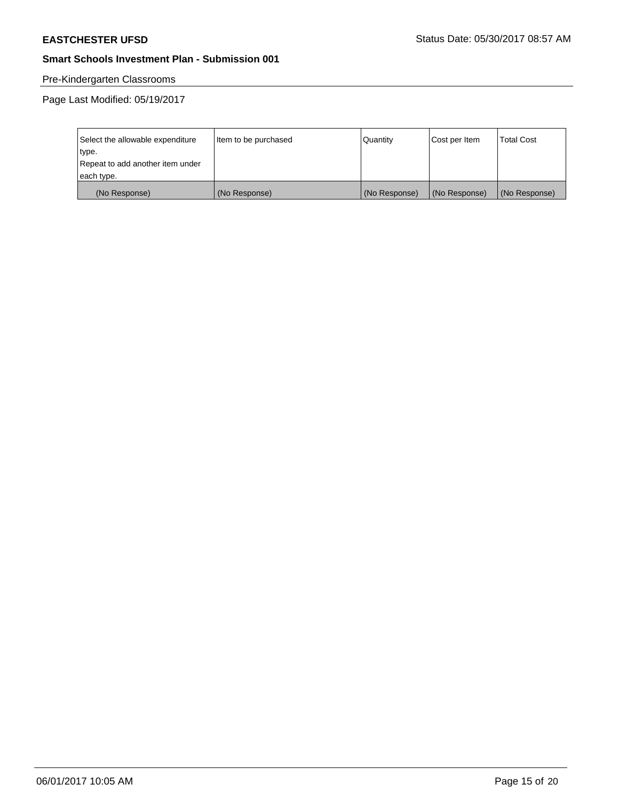# Pre-Kindergarten Classrooms

Page Last Modified: 05/19/2017

| Select the allowable expenditure | Item to be purchased | Quantity      | Cost per Item | <b>Total Cost</b> |
|----------------------------------|----------------------|---------------|---------------|-------------------|
| type.                            |                      |               |               |                   |
| Repeat to add another item under |                      |               |               |                   |
| each type.                       |                      |               |               |                   |
| (No Response)                    | (No Response)        | (No Response) | (No Response) | (No Response)     |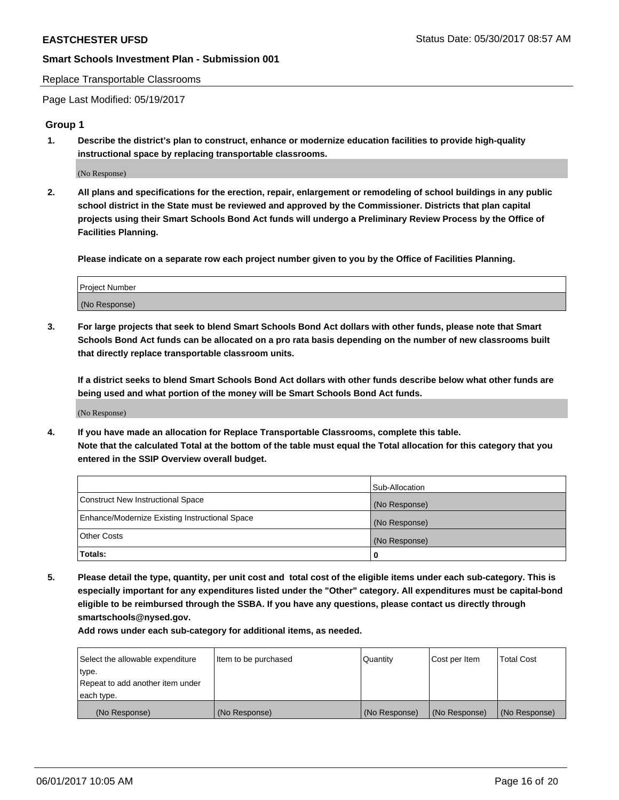#### Replace Transportable Classrooms

Page Last Modified: 05/19/2017

#### **Group 1**

**1. Describe the district's plan to construct, enhance or modernize education facilities to provide high-quality instructional space by replacing transportable classrooms.**

(No Response)

**2. All plans and specifications for the erection, repair, enlargement or remodeling of school buildings in any public school district in the State must be reviewed and approved by the Commissioner. Districts that plan capital projects using their Smart Schools Bond Act funds will undergo a Preliminary Review Process by the Office of Facilities Planning.**

**Please indicate on a separate row each project number given to you by the Office of Facilities Planning.**

| Project Number |  |
|----------------|--|
| (No Response)  |  |

**3. For large projects that seek to blend Smart Schools Bond Act dollars with other funds, please note that Smart Schools Bond Act funds can be allocated on a pro rata basis depending on the number of new classrooms built that directly replace transportable classroom units.**

**If a district seeks to blend Smart Schools Bond Act dollars with other funds describe below what other funds are being used and what portion of the money will be Smart Schools Bond Act funds.**

(No Response)

**4. If you have made an allocation for Replace Transportable Classrooms, complete this table. Note that the calculated Total at the bottom of the table must equal the Total allocation for this category that you entered in the SSIP Overview overall budget.**

|                                                | Sub-Allocation |
|------------------------------------------------|----------------|
| Construct New Instructional Space              | (No Response)  |
| Enhance/Modernize Existing Instructional Space | (No Response)  |
| Other Costs                                    | (No Response)  |
| Totals:                                        | $\Omega$       |

**5. Please detail the type, quantity, per unit cost and total cost of the eligible items under each sub-category. This is especially important for any expenditures listed under the "Other" category. All expenditures must be capital-bond eligible to be reimbursed through the SSBA. If you have any questions, please contact us directly through smartschools@nysed.gov.**

| Select the allowable expenditure | Item to be purchased | Quantity      | Cost per Item | <b>Total Cost</b> |
|----------------------------------|----------------------|---------------|---------------|-------------------|
| type.                            |                      |               |               |                   |
| Repeat to add another item under |                      |               |               |                   |
| each type.                       |                      |               |               |                   |
| (No Response)                    | (No Response)        | (No Response) | (No Response) | (No Response)     |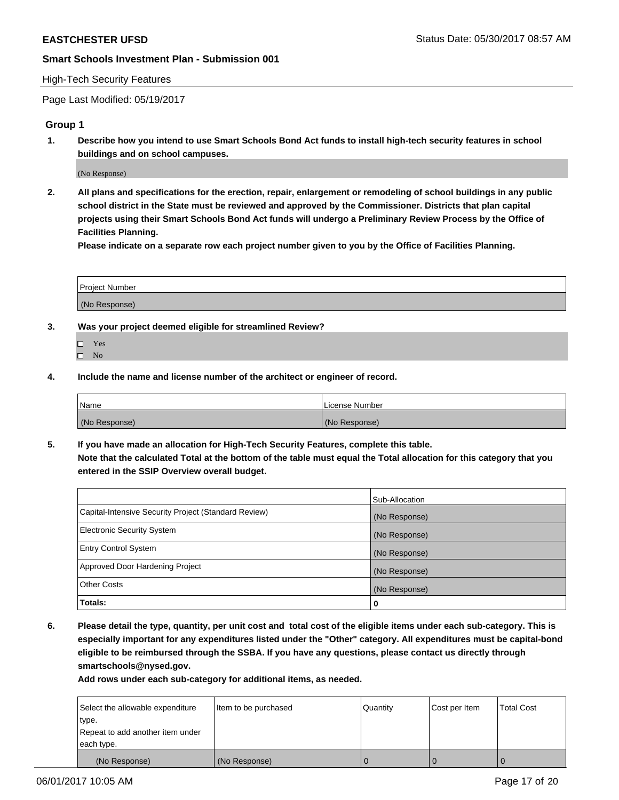#### High-Tech Security Features

Page Last Modified: 05/19/2017

### **Group 1**

**1. Describe how you intend to use Smart Schools Bond Act funds to install high-tech security features in school buildings and on school campuses.**

(No Response)

**2. All plans and specifications for the erection, repair, enlargement or remodeling of school buildings in any public school district in the State must be reviewed and approved by the Commissioner. Districts that plan capital projects using their Smart Schools Bond Act funds will undergo a Preliminary Review Process by the Office of Facilities Planning.** 

**Please indicate on a separate row each project number given to you by the Office of Facilities Planning.**

| Project Number |  |
|----------------|--|
|                |  |
| (No Response)  |  |

- **3. Was your project deemed eligible for streamlined Review?**
	- Yes  $\hfill \square$  No
- **4. Include the name and license number of the architect or engineer of record.**

| Name          | License Number |
|---------------|----------------|
| (No Response) | (No Response)  |

**5. If you have made an allocation for High-Tech Security Features, complete this table. Note that the calculated Total at the bottom of the table must equal the Total allocation for this category that you entered in the SSIP Overview overall budget.**

|                                                      | Sub-Allocation |
|------------------------------------------------------|----------------|
| Capital-Intensive Security Project (Standard Review) | (No Response)  |
| <b>Electronic Security System</b>                    | (No Response)  |
| <b>Entry Control System</b>                          | (No Response)  |
| Approved Door Hardening Project                      | (No Response)  |
| <b>Other Costs</b>                                   | (No Response)  |
| Totals:                                              | 0              |

**6. Please detail the type, quantity, per unit cost and total cost of the eligible items under each sub-category. This is especially important for any expenditures listed under the "Other" category. All expenditures must be capital-bond eligible to be reimbursed through the SSBA. If you have any questions, please contact us directly through smartschools@nysed.gov.**

| Select the allowable expenditure | Item to be purchased | Quantity | Cost per Item | <b>Total Cost</b> |
|----------------------------------|----------------------|----------|---------------|-------------------|
| type.                            |                      |          |               |                   |
| Repeat to add another item under |                      |          |               |                   |
| each type.                       |                      |          |               |                   |
| (No Response)                    | (No Response)        |          |               |                   |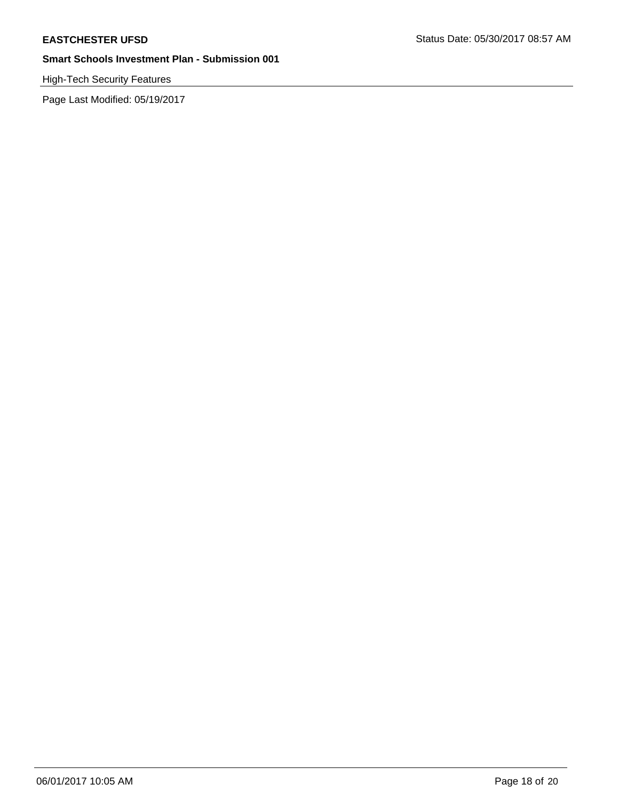# High-Tech Security Features

Page Last Modified: 05/19/2017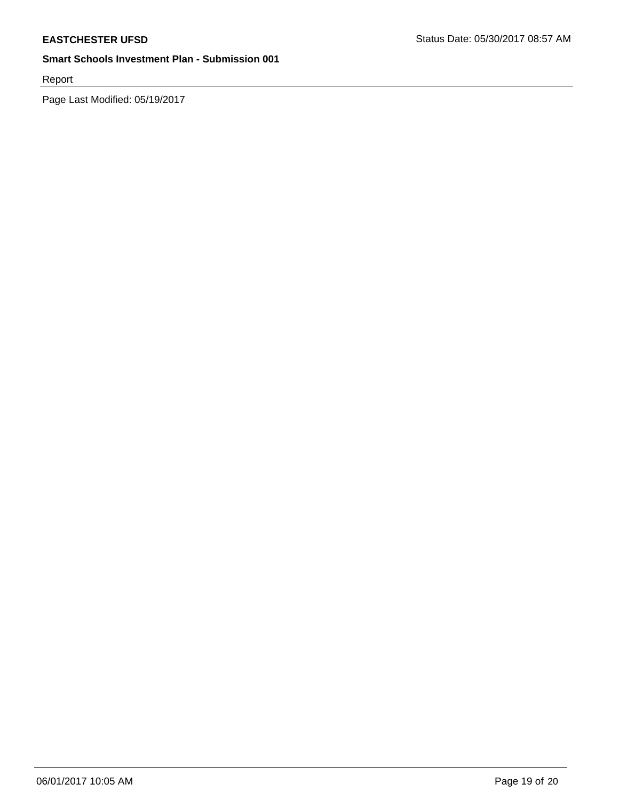Report

Page Last Modified: 05/19/2017